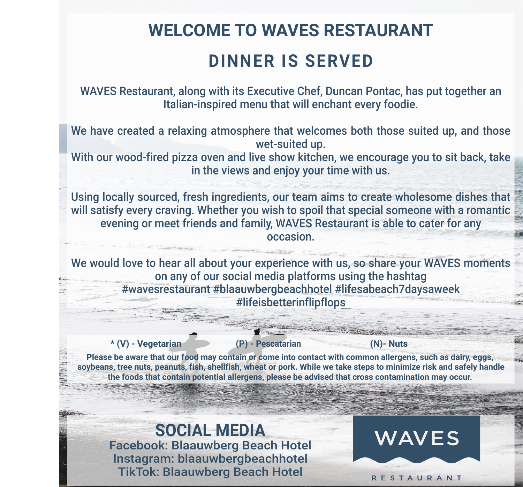## **WELCOME TO WAVES RESTAURANT DINNER IS SERVED**

WAVES Restaurant, along with its Executive Chef, Duncan Pontac, has put together an Italian-inspired menu that will enchant every foodie.

We have created a relaxing atmosphere that welcomes both those suited up, and those wet-suited up.

With our wood-fired pizza oven and live show kitchen, we encourage you to sit back, take in the views and enjoy your time with us.

Using locally sourced, fresh ingredients, our team aims to create wholesome dishes that will satisfy every craving. Whether you wish to spoil that special someone with a romantic evening or meet friends and family, WAVES Restaurant is able to cater for any occasion.

We would love to hear all about your experience with us, so share your WAVES moments on any of our social media platforms using the hashtag #wavesrestaurant #blaauwbergbeachhotel #lifesabeach7daysaweek #lifeisbetterinflipflops

**\* (V) - Vegetarian (P) - Pescatarian (N)- Nuts**

**Please be aware that our food may contain or come into contact with common allergens, such as dairy, eggs, soybeans, tree nuts, peanuts, fish, shellfish, wheat or pork. While we take steps to minimize risk and safely handle the foods that contain potential allergens, please be advised that cross contamination may occur.**

**SOCIAL MEDIA** Facebook: Blaauwberg Beach Hotel Instagram: blaauwbergbeachhotel TikTok: Blaauwberg Beach Hotel

**WAVES**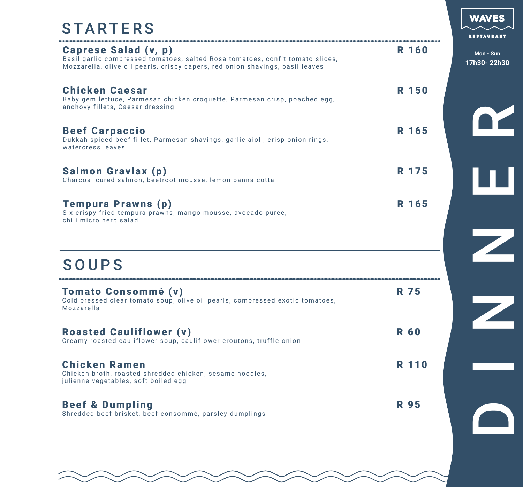#### STARTERS

| <b>Caprese Salad (v, p)</b><br>Basil garlic compressed tomatoes, salted Rosa tomatoes, confit tomato slices,<br>Mozzarella, olive oil pearls, crispy capers, red onion shavings, basil leaves | <b>R</b> 160 |  |
|-----------------------------------------------------------------------------------------------------------------------------------------------------------------------------------------------|--------------|--|
| <b>Chicken Caesar</b><br>Baby gem lettuce, Parmesan chicken croquette, Parmesan crisp, poached egg,<br>anchovy fillets, Caesar dressing                                                       | R 150        |  |
| <b>Beef Carpaccio</b><br>Dukkah spiced beef fillet, Parmesan shavings, garlic aioli, crisp onion rings,<br>watercress leaves                                                                  | R 165        |  |
| Salmon Gravlax (p)<br>Charcoal cured salmon, beetroot mousse, lemon panna cotta                                                                                                               | R 175        |  |
| <b>Tempura Prawns (p)</b><br>Six crispy fried tempura prawns, mango mousse, avocado puree,<br>chili micro herb salad                                                                          | R 165        |  |

#### SOUPS

| <b>Tomato Consommé (v)</b><br>Cold pressed clear tomato soup, olive oil pearls, compressed exotic tomatoes,<br>Mozzarella | R 75         |
|---------------------------------------------------------------------------------------------------------------------------|--------------|
| <b>Roasted Cauliflower (v)</b><br>Creamy roasted cauliflower soup, cauliflower croutons, truffle onion                    | <b>R 60</b>  |
| <b>Chicken Ramen</b><br>Chicken broth, roasted shredded chicken, sesame noodles,<br>julienne vegetables, soft boiled egg  | <b>R</b> 110 |
| <b>Beef &amp; Dumpling</b><br>Shredded beef brisket, beef consommé, parsley dumplings                                     | R 95         |

**WAVES** 

**RESTAURANT** 

**Mon - Sun 17h30- 22h30**

DE<br>NER<br>D

Z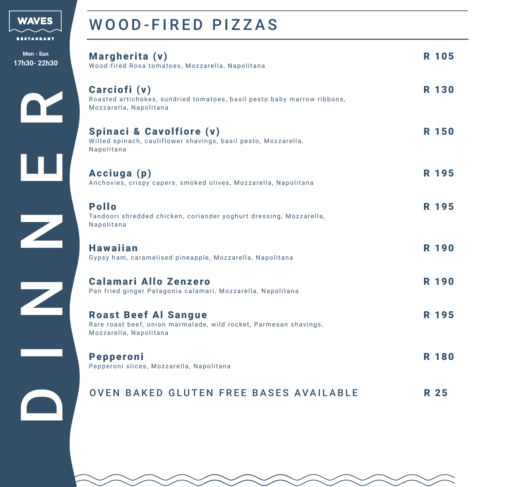

#### WOOD-FIRED PIZZAS

| Mon - Sun<br>17h30-22h30 | Margherita (v)<br>Wood-fired Rosa tomatoes, Mozzarella, Napolitana                                                         | R 105        |
|--------------------------|----------------------------------------------------------------------------------------------------------------------------|--------------|
|                          | Carciofi (v)<br>Roasted artichokes, sundried tomatoes, basil pesto baby marrow ribbons,<br>Mozzarella, Napolitana          | <b>R</b> 130 |
|                          | <b>Spinaci &amp; Cavolfiore (v)</b><br>Wilted spinach, cauliflower shavings, basil pesto, Mozzarella,<br>Napolitana        | <b>R</b> 150 |
|                          | Acciuga (p)<br>Anchovies, crispy capers, smoked olives, Mozzarella, Napolitana                                             | R 195        |
|                          | <b>Pollo</b><br>Tandoori shredded chicken, coriander yoghurt dressing, Mozzarella,<br>Napolitana                           | R 195        |
|                          | <b>Hawaiian</b><br>Gypsy ham, caramelised pineapple, Mozzarella, Napolitana                                                | <b>R</b> 190 |
|                          | <b>Calamari Allo Zenzero</b><br>Pan fried ginger Patagonia calamari, Mozzarella, Napolitana                                | <b>R</b> 190 |
|                          | <b>Roast Beef Al Sangue</b><br>Rare roast beef, onion marmalade, wild rocket, Parmesan shavings,<br>Mozzarella, Napolitana | R 195        |
|                          | <b>Pepperoni</b><br>Pepperoni slices, Mozzarella, Napolitana                                                               | <b>R</b> 180 |
|                          | <b>OVEN BAKED GLUTEN FREE BASES AVAILABLE</b>                                                                              | R 25         |

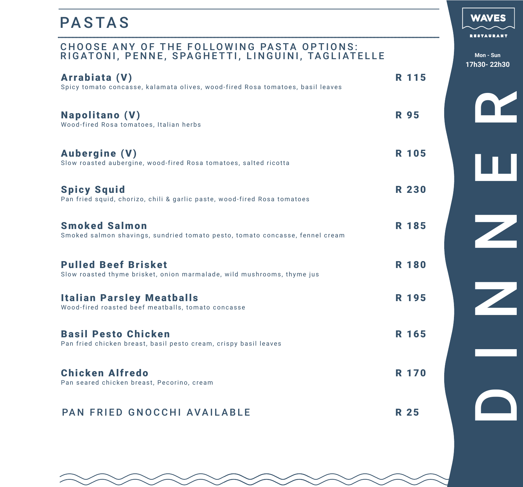#### PASTAS

#### CHOOSE ANY OF THE FOLLOWING PASTA OPTIONS: RIGATONI, PENNE, SPAGHETTI, LINGUINI, TAGLIATELLE **Mon - Sun**

| Arrabiata (V)<br>Spicy tomato concasse, kalamata olives, wood-fired Rosa tomatoes, basil leaves      |             | R 115        |
|------------------------------------------------------------------------------------------------------|-------------|--------------|
| <b>Napolitano (V)</b><br>Wood-fired Rosa tomatoes, Italian herbs                                     | <b>R</b> 95 |              |
| <b>Aubergine (V)</b><br>Slow roasted aubergine, wood-fired Rosa tomatoes, salted ricotta             |             | <b>R</b> 105 |
| <b>Spicy Squid</b><br>Pan fried squid, chorizo, chili & garlic paste, wood-fired Rosa tomatoes       |             | <b>R 230</b> |
| <b>Smoked Salmon</b><br>Smoked salmon shavings, sundried tomato pesto, tomato concasse, fennel cream |             | R 185        |
| <b>Pulled Beef Brisket</b><br>Slow roasted thyme brisket, onion marmalade, wild mushrooms, thyme jus |             | <b>R</b> 180 |
| <b>Italian Parsley Meatballs</b><br>Wood-fired roasted beef meatballs, tomato concasse               |             | <b>R</b> 195 |
| <b>Basil Pesto Chicken</b><br>Pan fried chicken breast, basil pesto cream, crispy basil leaves       |             | R 165        |
| <b>Chicken Alfredo</b><br>Pan seared chicken breast, Pecorino, cream                                 |             | <b>R</b> 170 |
| PAN FRIED GNOCCHI AVAILABLE                                                                          | <b>R</b> 25 |              |

#### **WAVES**

**RESTAURANT** 

**17h30- 22h30**

DE<br>NER<br>D

 $\overline{\mathbb{Z}}$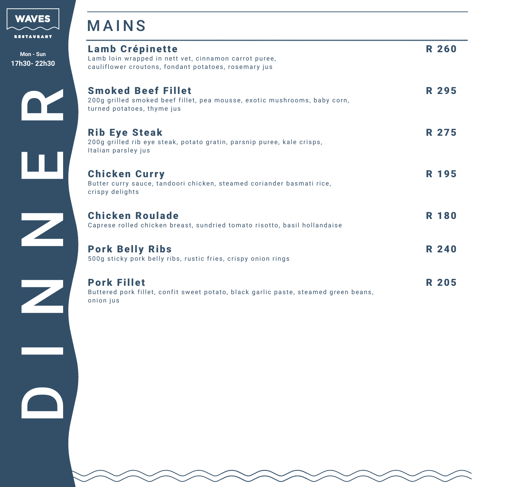

|  | RESTAURANT |  |
|--|------------|--|
|  |            |  |

**Mon - Sun 17h30- 22h30**

#### MAINS

| <b>ESTAURANT</b>                                                                                                                                                                                                                     |                                                                                                                                         |              |
|--------------------------------------------------------------------------------------------------------------------------------------------------------------------------------------------------------------------------------------|-----------------------------------------------------------------------------------------------------------------------------------------|--------------|
| Mon - Sun<br>h30-22h30                                                                                                                                                                                                               | <b>Lamb Crépinette</b><br>Lamb loin wrapped in nett vet, cinnamon carrot puree,<br>cauliflower croutons, fondant potatoes, rosemary jus | <b>R 260</b> |
|                                                                                                                                                                                                                                      | <b>Smoked Beef Fillet</b><br>200g grilled smoked beef fillet, pea mousse, exotic mushrooms, baby corn,<br>turned potatoes, thyme jus    | R 295        |
|                                                                                                                                                                                                                                      | <b>Rib Eye Steak</b><br>200g grilled rib eye steak, potato gratin, parsnip puree, kale crisps,<br>Italian parsley jus                   | R 275        |
|                                                                                                                                                                                                                                      | <b>Chicken Curry</b><br>Butter curry sauce, tandoori chicken, steamed coriander basmati rice,<br>crispy delights                        | R 195        |
|                                                                                                                                                                                                                                      | <b>Chicken Roulade</b><br>Caprese rolled chicken breast, sundried tomato risotto, basil hollandaise                                     | <b>R</b> 180 |
|                                                                                                                                                                                                                                      | <b>Pork Belly Ribs</b><br>500g sticky pork belly ribs, rustic fries, crispy onion rings                                                 | <b>R 240</b> |
| <u>Serviçor de la contrada de la contrada de la contrada de la contrada de la contrada de la contrada de la contrada de la contrada de la contrada de la contrada de la contrada de la contrada de la contrada de la contrada de</u> | <b>Pork Fillet</b><br>Buttered pork fillet, confit sweet potato, black garlic paste, steamed green beans,<br>onion jus                  | <b>R 205</b> |
|                                                                                                                                                                                                                                      |                                                                                                                                         |              |
| <b>TELESCOPE</b>                                                                                                                                                                                                                     |                                                                                                                                         |              |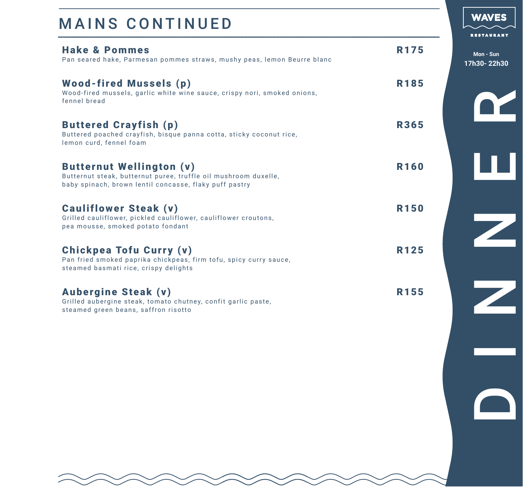| <b>Hake &amp; Pommes</b><br>Pan seared hake, Parmesan pommes straws, mushy peas, lemon Beurre blanc                                                          | R <sub>175</sub> |
|--------------------------------------------------------------------------------------------------------------------------------------------------------------|------------------|
| <b>Wood-fired Mussels (p)</b><br>Wood-fired mussels, garlic white wine sauce, crispy nori, smoked onions,<br>fennel bread                                    | R185             |
| <b>Buttered Crayfish (p)</b><br>Buttered poached crayfish, bisque panna cotta, sticky coconut rice,<br>lemon curd, fennel foam                               | <b>R365</b>      |
| <b>Butternut Wellington (v)</b><br>Butternut steak, butternut puree, truffle oil mushroom duxelle,<br>baby spinach, brown lentil concasse, flaky puff pastry | <b>R160</b>      |
| <b>Cauliflower Steak (v)</b><br>Grilled cauliflower, pickled cauliflower, cauliflower croutons,<br>pea mousse, smoked potato fondant                         | <b>R150</b>      |
| Chickpea Tofu Curry (v)<br>Pan fried smoked paprika chickpeas, firm tofu, spicy curry sauce,<br>steamed basmati rice, crispy delights                        | <b>R125</b>      |
| <b>Aubergine Steak (v)</b><br>Grilled aubergine steak, tomato chutney, confit garlic paste,<br>steamed green beans, saffron risotto                          | R <sub>155</sub> |

DE<br>NER<br>D Z  $\overline{z}$ 

**Mon - Sun 17h30- 22h30**

**WAVES**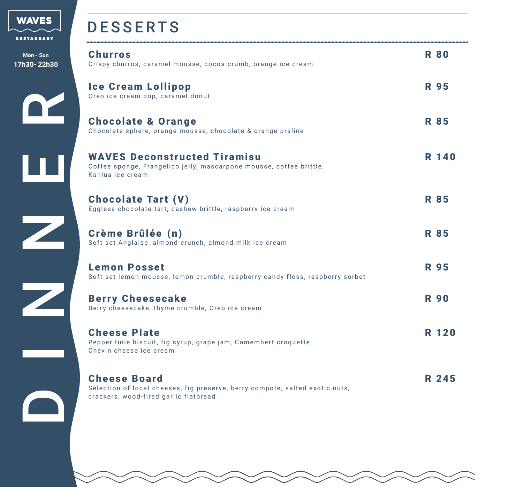

**Mon - Sun 17h30-22h** 

#### DESSERTS

| Mon - Sun<br>7h30-22h30 | <b>Churros</b><br>Crispy churros, caramel mousse, cocoa crumb, orange ice cream                                                              | <b>R80</b>  |
|-------------------------|----------------------------------------------------------------------------------------------------------------------------------------------|-------------|
|                         | <b>Ice Cream Lollipop</b><br>Oreo ice cream pop, caramel donut                                                                               | <b>R</b> 95 |
|                         | <b>Chocolate &amp; Orange</b><br>Chocolate sphere, orange mousse, chocolate & orange praline                                                 | <b>R</b> 85 |
|                         | <b>WAVES Deconstructed Tiramisu</b><br>Coffee sponge, Frangelico jelly, mascarpone mousse, coffee brittle,<br>Kahlua ice cream               | R 140       |
|                         | <b>Chocolate Tart (V)</b><br>Eggless chocolate tart, cashew brittle, raspberry ice cream                                                     | <b>R</b> 85 |
|                         | Crème Brûlée (n)<br>Soft set Anglaise, almond crunch, almond milk ice cream                                                                  | <b>R</b> 85 |
|                         | <b>Lemon Posset</b><br>Soft set lemon mousse, lemon crumble, raspberry candy floss, raspberry sorbet                                         | <b>R</b> 95 |
|                         | <b>Berry Cheesecake</b><br>Berry cheesecake, thyme crumble, Oreo ice cream                                                                   | <b>R</b> 90 |
|                         | <b>Cheese Plate</b><br>Pepper tuile biscuit, fig syrup, grape jam, Camembert croquette,<br>Chevin cheese ice cream                           | R 120       |
|                         | <b>Cheese Board</b><br>Selection of local cheeses, fig preserve, berry compote, salted exotic nuts,<br>crackers, wood-fired garlic flatbread | R 245       |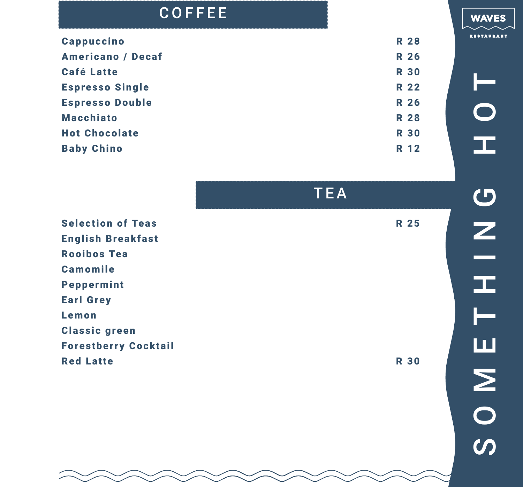#### COFFEE

| <b>Cappuccino</b>        | <b>R 28</b> |
|--------------------------|-------------|
| <b>Americano / Decaf</b> | <b>R</b> 26 |
| <b>Café Latte</b>        | <b>R 30</b> |
| <b>Espresso Single</b>   | <b>R</b> 22 |
| <b>Espresso Double</b>   | <b>R</b> 26 |
| <b>Macchiato</b>         | <b>R 28</b> |
| <b>Hot Chocolate</b>     | <b>R 30</b> |
| <b>Baby Chino</b>        | R 12        |
|                          |             |

TEA

Selection of Teas R 25 English Breakfast Rooibos Tea Camomile Peppermint Earl Grey Lemon Classic green Forestberry Cocktail Red Latte R 30

**WAVES**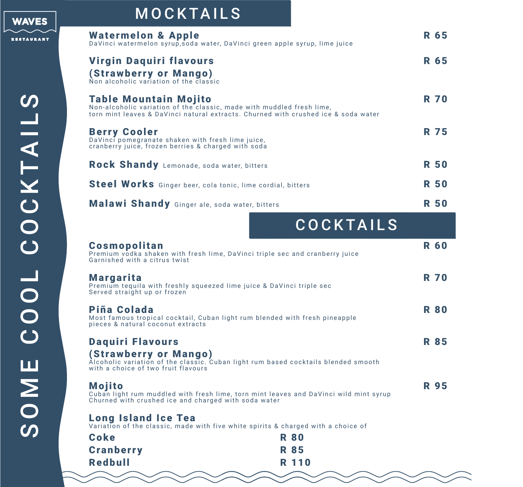

| <b>Watermelon &amp; Apple</b><br>DaVinci watermelon syrup, soda water, DaVinci green apple syrup, lime juice                                                                                | R 65        |
|---------------------------------------------------------------------------------------------------------------------------------------------------------------------------------------------|-------------|
| <b>Virgin Daquiri flavours</b><br>(Strawberry or Mango)<br>Non alcoholic variation of the classic                                                                                           | R 65        |
| <b>Table Mountain Mojito</b><br>Non-alcoholic variation of the classic, made with muddled fresh lime,<br>torn mint leaves & DaVinci natural extracts. Churned with crushed ice & soda water | <b>R 70</b> |
| <b>Berry Cooler</b><br>DaVinci pomegranate shaken with fresh lime juice,<br>cranberry juice, frozen berries & charged with soda                                                             | R 75        |
| Rock Shandy Lemonade, soda water, bitters                                                                                                                                                   | <b>R</b> 50 |
| Steel Works Ginger beer, cola tonic, lime cordial, bitters                                                                                                                                  | <b>R50</b>  |
| Malawi Shandy Ginger ale, soda water, bitters                                                                                                                                               | R 50        |
|                                                                                                                                                                                             |             |

|  | <b>COCKTAILS</b> |  |
|--|------------------|--|

| <b>Cosmopolitan</b><br>Garnished with a citrus twist                                                                      | Premium vodka shaken with fresh lime, DaVinci triple sec and cranberry juice          | <b>R 60</b> |
|---------------------------------------------------------------------------------------------------------------------------|---------------------------------------------------------------------------------------|-------------|
| <b>Margarita</b><br>Premium tequila with freshly squeezed lime juice & DaVinci triple sec<br>Served straight up or frozen |                                                                                       | <b>R 70</b> |
| Piña Colada<br>pieces & natural coconut extracts                                                                          | Most famous tropical cocktail, Cuban light rum blended with fresh pineapple           | <b>R 80</b> |
| <b>Daquiri Flavours</b><br>(Strawberry or Mango)<br>with a choice of two fruit flavours                                   | Alcoholic variation of the classic. Cuban light rum based cocktails blended smooth    | <b>R</b> 85 |
| <b>Mojito</b><br>Churned with crushed ice and charged with soda water                                                     | Cuban light rum muddled with fresh lime, torn mint leaves and DaVinci wild mint syrup | <b>R</b> 95 |
| <b>Long Island Ice Tea</b>                                                                                                | Variation of the classic, made with five white spirits & charged with a choice of     |             |
| Coke                                                                                                                      | <b>R 80</b>                                                                           |             |
| <b>Cranberry</b>                                                                                                          | <b>R</b> 85                                                                           |             |
| Redbull                                                                                                                   | R 110                                                                                 |             |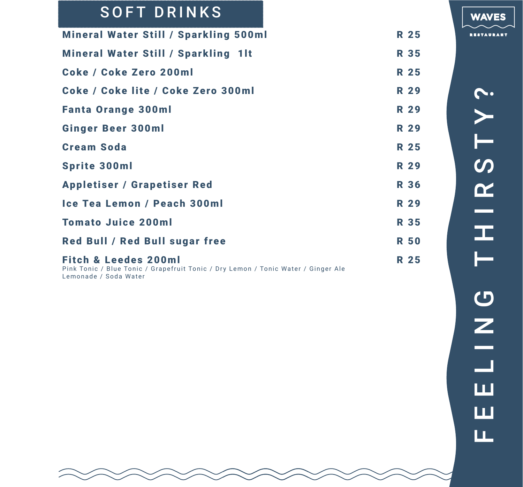### SOFT DRINKS

| <b>Mineral Water Still / Sparkling 500ml</b>                                                                                                  | <b>R 25</b> |
|-----------------------------------------------------------------------------------------------------------------------------------------------|-------------|
| <b>Mineral Water Still / Sparkling 1lt</b>                                                                                                    | <b>R</b> 35 |
| Coke / Coke Zero 200ml                                                                                                                        | R 25        |
| Coke / Coke lite / Coke Zero 300ml                                                                                                            | <b>R 29</b> |
| <b>Fanta Orange 300ml</b>                                                                                                                     | <b>R</b> 29 |
| <b>Ginger Beer 300ml</b>                                                                                                                      | <b>R 29</b> |
| <b>Cream Soda</b>                                                                                                                             | R 25        |
| <b>Sprite 300ml</b>                                                                                                                           | <b>R</b> 29 |
| <b>Appletiser / Grapetiser Red</b>                                                                                                            | <b>R</b> 36 |
| Ice Tea Lemon / Peach 300ml                                                                                                                   | <b>R</b> 29 |
| <b>Tomato Juice 200ml</b>                                                                                                                     | <b>R</b> 35 |
| <b>Red Bull / Red Bull sugar free</b>                                                                                                         | <b>R 50</b> |
| <b>Fitch &amp; Leedes 200ml</b><br>Pink Tonic / Blue Tonic / Grapefruit Tonic / Dry Lemon / Tonic Water / Ginger Ale<br>Lemonade / Soda Water | R 25        |

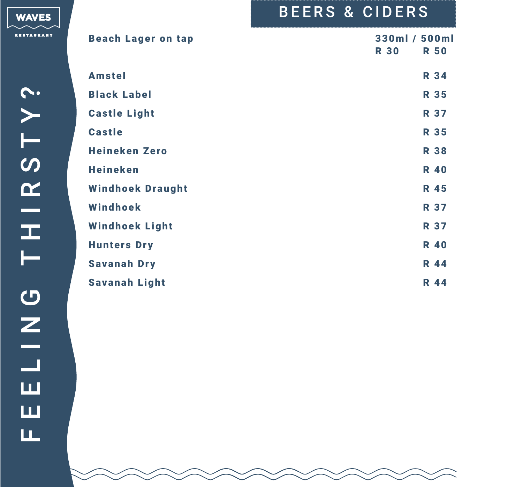|                           | <b>BEERS &amp; CIDERS</b>                   |
|---------------------------|---------------------------------------------|
| <b>Beach Lager on tap</b> | 330ml / 500ml<br><b>R 30</b><br><b>R 50</b> |
| <b>Amstel</b>             | <b>R</b> 34                                 |
| <b>Black Label</b>        | <b>R</b> 35                                 |
| <b>Castle Light</b>       | <b>R 37</b>                                 |
| <b>Castle</b>             | <b>R</b> 35                                 |
| <b>Heineken Zero</b>      | <b>R 38</b>                                 |
| <b>Heineken</b>           | <b>R</b> 40                                 |
| <b>Windhoek Draught</b>   | <b>R</b> 45                                 |
| Windhoek                  | <b>R</b> 37                                 |
| <b>Windhoek Light</b>     | <b>R 37</b>                                 |
| <b>Hunters Dry</b>        | <b>R</b> 40                                 |
| <b>Savanah Dry</b>        | <b>R</b> 44                                 |
| <b>Savanah Light</b>      | <b>R</b> 44                                 |

WAVES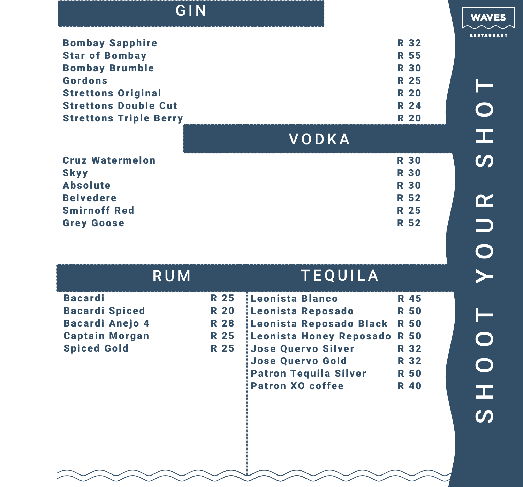| GIN                           |              |             | <b>WAVES</b>            |
|-------------------------------|--------------|-------------|-------------------------|
| <b>Bombay Sapphire</b>        |              | <b>R</b> 32 | <b>RESTAURANT</b>       |
| <b>Star of Bombay</b>         |              | <b>R</b> 55 |                         |
| <b>Bombay Brumble</b>         |              | <b>R 30</b> |                         |
| <b>Gordons</b>                |              | <b>R</b> 25 |                         |
| <b>Strettons Original</b>     |              | <b>R 20</b> |                         |
| <b>Strettons Double Cut</b>   |              | <b>R</b> 24 | $\overline{\mathbf{O}}$ |
| <b>Strettons Triple Berry</b> |              | <b>R 20</b> |                         |
|                               | <b>VODKA</b> |             | 工                       |
| <b>Cruz Watermelon</b>        |              | <b>R 30</b> | $\boldsymbol{\omega}$   |
| <b>Skyy</b>                   |              | <b>R 30</b> |                         |
| <b>Absolute</b>               |              | <b>R 30</b> |                         |
| <b>Belvedere</b>              |              | <b>R</b> 52 | $\boldsymbol{\alpha}$   |
| <b>Smirnoff Red</b>           |              | <b>R</b> 25 |                         |
| <b>Grey Goose</b>             |              | <b>R 52</b> | Ξ                       |

|                        | <b>RUM</b>  | <b>TEQUILA</b>               |             |
|------------------------|-------------|------------------------------|-------------|
| <b>Bacardi</b>         | R 25        | Leonista Blanco              | R 45        |
| <b>Bacardi Spiced</b>  | <b>R 20</b> | Leonista Reposado            | <b>R50</b>  |
| <b>Bacardi Anejo 4</b> | <b>R 28</b> | Leonista Reposado Black      | <b>R 50</b> |
| <b>Captain Morgan</b>  | <b>R</b> 25 | Leonista Honey Reposado      | <b>R 50</b> |
| <b>Spiced Gold</b>     | <b>R</b> 25 | <b>Jose Quervo Silver</b>    | R 32        |
|                        |             | <b>Jose Quervo Gold</b>      | R 32        |
|                        |             | <b>Patron Tequila Silver</b> | <b>R 50</b> |
|                        |             | <b>Patron XO coffee</b>      | <b>R40</b>  |
|                        |             |                              |             |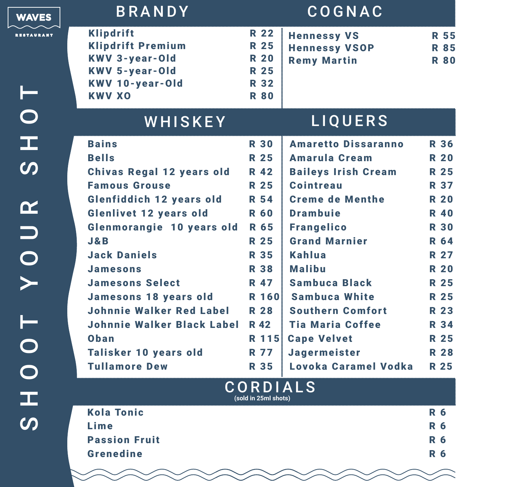| <b>WAVES</b>          | <b>BRANDY</b>                                                                                                                             |                                                                                        | COGNAC                                                           |                                           |
|-----------------------|-------------------------------------------------------------------------------------------------------------------------------------------|----------------------------------------------------------------------------------------|------------------------------------------------------------------|-------------------------------------------|
| <b>RESTAURANT</b>     | <b>Klipdrift</b><br><b>Klipdrift Premium</b><br><b>KWV 3-year-Old</b><br><b>KWV 5-year-Old</b><br><b>KWV 10-year-Old</b><br><b>KWV XO</b> | <b>R</b> 22<br><b>R</b> 25<br><b>R 20</b><br><b>R</b> 25<br><b>R</b> 32<br><b>R 80</b> | <b>Hennessy VS</b><br><b>Hennessy VSOP</b><br><b>Remy Martin</b> | <b>R 55</b><br><b>R</b> 85<br><b>R 80</b> |
| $\bigcirc$            | WHISKEY                                                                                                                                   |                                                                                        | <b>LIQUERS</b>                                                   |                                           |
| œ                     | <b>Bains</b>                                                                                                                              | <b>R 30</b>                                                                            | <b>Amaretto Dissaranno</b>                                       | <b>R 36</b>                               |
|                       | <b>Bells</b>                                                                                                                              | <b>R</b> 25                                                                            | <b>Amarula Cream</b>                                             | <b>R 20</b>                               |
| $\boldsymbol{\omega}$ | <b>Chivas Regal 12 years old</b>                                                                                                          | <b>R</b> 42                                                                            | <b>Baileys Irish Cream</b>                                       | <b>R</b> 25                               |
|                       | <b>Famous Grouse</b>                                                                                                                      | <b>R</b> 25                                                                            | <b>Cointreau</b>                                                 | <b>R 37</b>                               |
| $\alpha$              | <b>Glenfiddich 12 years old</b>                                                                                                           | <b>R</b> 54                                                                            | <b>Creme de Menthe</b>                                           | <b>R 20</b>                               |
|                       | <b>Glenlivet 12 years old</b>                                                                                                             | <b>R 60</b>                                                                            | <b>Drambuie</b>                                                  | <b>R</b> 40                               |
|                       | Glenmorangie 10 years old                                                                                                                 | R 65                                                                                   | <b>Frangelico</b>                                                | <b>R 30</b>                               |
|                       | J & B<br><b>Jack Daniels</b>                                                                                                              | <b>R</b> 25<br><b>R</b> 35                                                             | <b>Grand Marnier</b><br>Kahlua                                   | <b>R</b> 64<br><b>R</b> 27                |
|                       | <b>Jamesons</b>                                                                                                                           | <b>R</b> 38                                                                            | <b>Malibu</b>                                                    | <b>R 20</b>                               |
| UOY                   | <b>Jamesons Select</b>                                                                                                                    | <b>R</b> 47                                                                            | <b>Sambuca Black</b>                                             | <b>R</b> 25                               |
|                       | <b>Jamesons 18 years old</b>                                                                                                              | R 160                                                                                  | <b>Sambuca White</b>                                             | R 25                                      |
|                       | <b>Johnnie Walker Red Label</b>                                                                                                           | <b>R 28</b>                                                                            | <b>Southern Comfort</b>                                          | <b>R</b> 23                               |
|                       | <b>Johnnie Walker Black Label</b>                                                                                                         | <b>R</b> 42                                                                            | <b>Tia Maria Coffee</b>                                          | <b>R</b> 34                               |
|                       | Oban                                                                                                                                      |                                                                                        | R 115 Cape Velvet                                                | R 25                                      |
|                       | Talisker 10 years old                                                                                                                     | R 77                                                                                   | Jagermeister                                                     | <b>R</b> 28                               |
|                       | <b>Tullamore Dew</b>                                                                                                                      | <b>R</b> 35                                                                            | Lovoka Caramel Vodka                                             | <b>R</b> 25                               |
|                       |                                                                                                                                           | <b>CORDIALS</b>                                                                        |                                                                  |                                           |
| œ                     |                                                                                                                                           | (sold in 25ml shots)                                                                   |                                                                  |                                           |
| $\boldsymbol{\omega}$ | <b>Kola Tonic</b>                                                                                                                         |                                                                                        |                                                                  | <b>R</b> 6                                |
|                       | Lime                                                                                                                                      |                                                                                        |                                                                  | <b>R</b> 6                                |

Lime R 6 **Passion Fruit** R 6 Grenedine R 6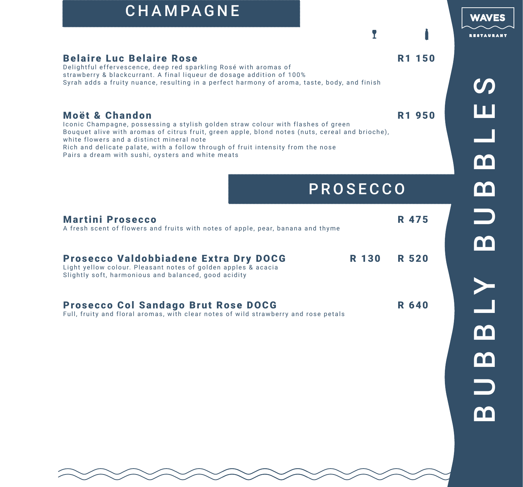## CHAMPAGNE

Delightful effervescence, deep red sparkling Rosé with aromas of strawberry & blackcurrant. A final liqueur de dosage addition of 100%

white flowers and a distinct mineral note



 $\mathbf{r}$ 

# $\boldsymbol{\mathcal{O}}$ B U B B LY B U B B L E SШ m <u>က</u>  $\Box$ m  $\geq$  $\mathbf{\Omega}$  $\mathbf{C}$  $\Box$ m

| Rich and delicate palate, with a follow through of fruit intensity from the nose<br>Pairs a dream with sushi, oysters and white meats                                 |          |              |
|-----------------------------------------------------------------------------------------------------------------------------------------------------------------------|----------|--------------|
|                                                                                                                                                                       | PROSECCO |              |
| <b>Martini Prosecco</b><br>A fresh scent of flowers and fruits with notes of apple, pear, banana and thyme                                                            |          | R 475        |
| <b>Prosecco Valdobbiadene Extra Dry DOCG</b><br>Light yellow colour. Pleasant notes of golden apples & acacia<br>Slightly soft, harmonious and balanced, good acidity | R 130    | <b>R 520</b> |
| <b>Prosecco Col Sandago Brut Rose DOCG</b><br>Full, fruity and floral aromas, with clear notes of wild strawberry and rose petals                                     |          | <b>R</b> 640 |

Belaire Luc Belaire Rose **R1** 150

Moët & Chandon R1 950

Syrah adds a fruity nuance, resulting in a perfect harmony of aroma, taste, body, and finish

Bouquet alive with aromas of citrus fruit, green apple, blond notes (nuts, cereal and brioche),

Iconic Champagne, possessing a stylish golden straw colour with flashes of green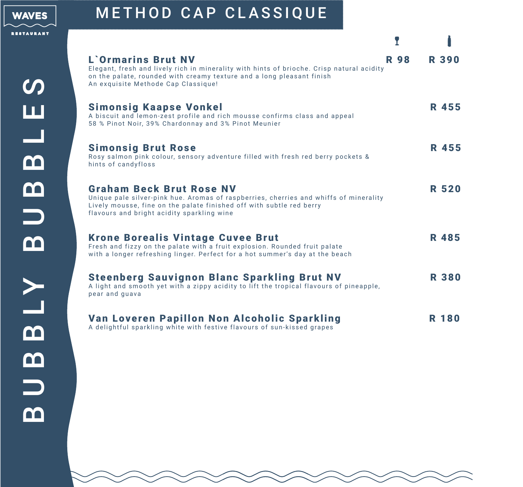

## METHOD CAP CLASSIQUE

| <b>L'Ormarins Brut NV</b><br>Elegant, fresh and lively rich in minerality with hints of brioche. Crisp natural acidity<br>on the palate, rounded with creamy texture and a long pleasant finish<br>An exquisite Methode Cap Classique!         | <b>R</b> 98 | <b>R390</b>  |
|------------------------------------------------------------------------------------------------------------------------------------------------------------------------------------------------------------------------------------------------|-------------|--------------|
| <b>Simonsig Kaapse Vonkel</b><br>A biscuit and lemon-zest profile and rich mousse confirms class and appeal<br>58 % Pinot Noir, 39% Chardonnay and 3% Pinot Meunier                                                                            |             | R 455        |
| <b>Simonsig Brut Rose</b><br>Rosy salmon pink colour, sensory adventure filled with fresh red berry pockets &<br>hints of candyfloss                                                                                                           |             | R 455        |
| <b>Graham Beck Brut Rose NV</b><br>Unique pale silver-pink hue. Aromas of raspberries, cherries and whiffs of minerality<br>Lively mousse, fine on the palate finished off with subtle red berry<br>flavours and bright acidity sparkling wine |             | <b>R 520</b> |
| <b>Krone Borealis Vintage Cuvee Brut</b><br>Fresh and fizzy on the palate with a fruit explosion. Rounded fruit palate<br>with a longer refreshing linger. Perfect for a hot summer's day at the beach                                         |             | R 485        |
| <b>Steenberg Sauvignon Blanc Sparkling Brut NV</b><br>A light and smooth yet with a zippy acidity to lift the tropical flavours of pineapple,<br>pear and guava                                                                                |             | <b>R380</b>  |
| Van Loveren Papillon Non Alcoholic Sparkling<br>A delightful sparkling white with festive flavours of sun-kissed grapes                                                                                                                        |             | R 180        |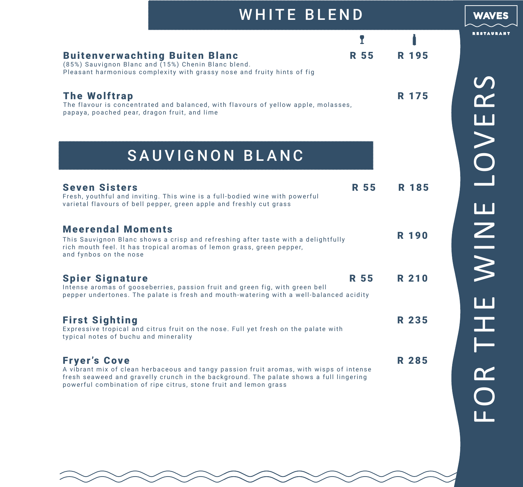| <b>WHITE BLEND</b>                                                                                                                                                                                               |                      |
|------------------------------------------------------------------------------------------------------------------------------------------------------------------------------------------------------------------|----------------------|
| R 55<br><b>Buitenverwachting Buiten Blanc</b><br>(85%) Sauvignon Blanc and (15%) Chenin Blanc blend.<br>Pleasant harmonious complexity with grassy nose and fruity hints of fig                                  | T<br>R 195           |
| <b>The Wolftrap</b><br>The flavour is concentrated and balanced, with flavours of yellow apple, molasses,<br>papaya, poached pear, dragon fruit, and lime                                                        | R 175                |
| SAUVIGNON BLANC                                                                                                                                                                                                  |                      |
| <b>Seven Sisters</b><br>Fresh, youthful and inviting. This wine is a full-bodied wine with powerful<br>varietal flavours of bell pepper, green apple and freshly cut grass                                       | <b>R</b> 55<br>R 185 |
| <b>Meerendal Moments</b><br>This Sauvignon Blanc shows a crisp and refreshing after taste with a delightfully<br>rich mouth feel. It has tropical aromas of lemon grass, green pepper,<br>and fynbos on the nose | <b>R</b> 190         |
| R 55<br><b>Spier Signature</b><br>Intense aromas of gooseberries, passion fruit and green fig, with green bell<br>pepper undertones. The palate is fresh and mouth-watering with a well-balanced acidity         | R 210                |
| <b>First Sighting</b><br>Expressive tropical and citrus fruit on the nose. Full yet fresh on the palate with<br>typical notes of buchu and minerality                                                            | R 235                |
| <b>Fryer's Cove</b><br>A vibrant mix of clean herbaceous and tangy passion fruit aromas, with wisps of intense<br>fresh seaweed and gravelly crunch in the background. The palate shows a full lingering         | R 285                |

fresh seaweed and gravelly crunch in the background. The palate shows a full lingering powerful combination of ripe citrus, stone fruit and lemon grass

**WAVES**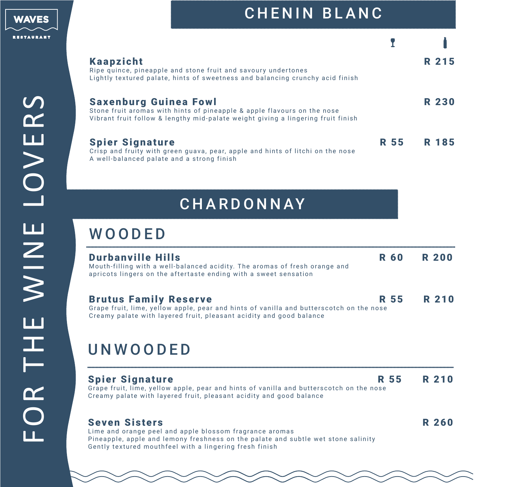

FOR THE WINE LOVERS

FOR

THE WINE LOVERS

| <b>Kaapzicht</b><br>Ripe quince, pineapple and stone fruit and savoury undertones<br>Lightly textured palate, hints of sweetness and balancing crunchy acid finish                          |             | R 215 |
|---------------------------------------------------------------------------------------------------------------------------------------------------------------------------------------------|-------------|-------|
| <b>Saxenburg Guinea Fowl</b><br>Stone fruit aromas with hints of pineapple & apple flavours on the nose<br>Vibrant fruit follow & lengthy mid-palate weight giving a lingering fruit finish |             | R 230 |
| <b>Spier Signature</b><br>Crisp and fruity with green guava, pear, apple and hints of litchi on the nose<br>A well-balanced palate and a strong finish                                      | <b>R</b> 55 | R 185 |

### **CHARDONNAY**

### **WOODED**

| <b>Durbanville Hills</b><br>Mouth-filling with a well-balanced acidity. The aromas of fresh orange and<br>apricots lingers on the aftertaste ending with a sweet sensation                                                      | <b>R 60</b> | <b>R 200</b> |
|---------------------------------------------------------------------------------------------------------------------------------------------------------------------------------------------------------------------------------|-------------|--------------|
| <b>Brutus Family Reserve</b><br>Grape fruit, lime, yellow apple, pear and hints of vanilla and butterscotch on the nose<br>Creamy palate with layered fruit, pleasant acidity and good balance                                  | <b>R</b> 55 | R 210        |
| UNWOODED                                                                                                                                                                                                                        |             |              |
| <b>Spier Signature</b><br>Grape fruit, lime, yellow apple, pear and hints of vanilla and butterscotch on the nose<br>Creamy palate with layered fruit, pleasant acidity and good balance                                        | R 55        | R 210        |
| <b>Seven Sisters</b><br>Lime and orange peel and apple blossom fragrance aromas<br>Pineapple, apple and lemony freshness on the palate and subtle wet stone salinity<br>Gently textured mouthfeel with a lingering fresh finish |             | <b>R 260</b> |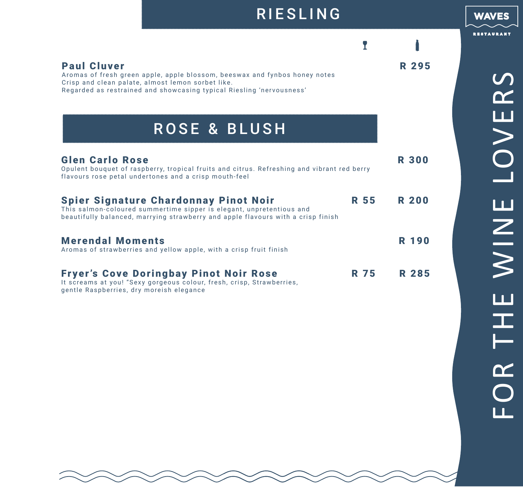| <b>Paul Cluver</b><br>Aromas of fresh green apple, apple blossom, beeswax and fynbos honey notes<br>Crisp and clean palate, almost lemon sorbet like.<br>Regarded as restrained and showcasing typical Riesling 'nervousness' |      | <b>R 295</b> |
|-------------------------------------------------------------------------------------------------------------------------------------------------------------------------------------------------------------------------------|------|--------------|
| <b>ROSE &amp; BLUSH</b>                                                                                                                                                                                                       |      |              |
| <b>Glen Carlo Rose</b><br>Opulent bouquet of raspberry, tropical fruits and citrus. Refreshing and vibrant red berry<br>flavours rose petal undertones and a crisp mouth-feel                                                 |      | <b>R 300</b> |
| <b>Spier Signature Chardonnay Pinot Noir</b><br>This salmon-coloured summertime sipper is elegant, unpretentious and<br>beautifully balanced, marrying strawberry and apple flavours with a crisp finish                      | R 55 | <b>R 200</b> |
| <b>Merendal Moments</b><br>Aromas of strawberries and yellow apple, with a crisp fruit finish                                                                                                                                 |      | <b>R</b> 190 |
| <b>Fryer's Cove Doringbay Pinot Noir Rose</b>                                                                                                                                                                                 | 75   | R 285        |

RIESLING

It screams at you! "Sexy gorgeous colour, fresh, crisp, Strawberries, gentle Raspberries, dry moreish elegance

FOR THE WINE LOVERS FOR THE WINE LOVERS

**WAVES**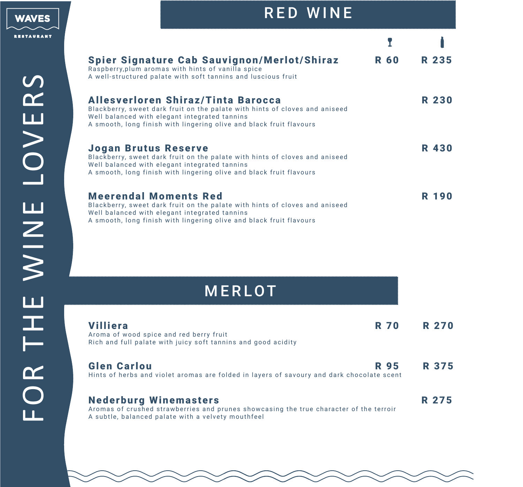

#### RED WINE

| <b>Spier Signature Cab Sauvignon/Merlot/Shiraz</b><br>Raspberry, plum aromas with hints of vanilla spice<br>A well-structured palate with soft tannins and luscious fruit                                                                 | <b>R 60</b> | R 235        |
|-------------------------------------------------------------------------------------------------------------------------------------------------------------------------------------------------------------------------------------------|-------------|--------------|
| Allesverloren Shiraz/Tinta Barocca<br>Blackberry, sweet dark fruit on the palate with hints of cloves and aniseed<br>Well balanced with elegant integrated tannins<br>A smooth, long finish with lingering olive and black fruit flavours |             | <b>R 230</b> |
| <b>Jogan Brutus Reserve</b><br>Blackberry, sweet dark fruit on the palate with hints of cloves and aniseed<br>Well balanced with elegant integrated tannins<br>A smooth, long finish with lingering olive and black fruit flavours        |             | <b>R</b> 430 |
| <b>Meerendal Moments Red</b><br>Blackberry, sweet dark fruit on the palate with hints of cloves and aniseed<br>Well balanced with elegant integrated tannins<br>A smooth, long finish with lingering olive and black fruit flavours       |             | R 190        |

### MERLOT

| <b>Villiera</b><br>Aroma of wood spice and red berry fruit<br>Rich and full palate with juicy soft tannins and good acidity                                                  | <b>R70</b>  | <b>R 270</b> |
|------------------------------------------------------------------------------------------------------------------------------------------------------------------------------|-------------|--------------|
| <b>Glen Carlou</b><br>Hints of herbs and violet aromas are folded in layers of savoury and dark chocolate scent                                                              | <b>R</b> 95 | R 375        |
| <b>Nederburg Winemasters</b><br>Aromas of crushed strawberries and prunes showcasing the true character of the terroir<br>A subtle, balanced palate with a velvety mouthfeel |             | R 275        |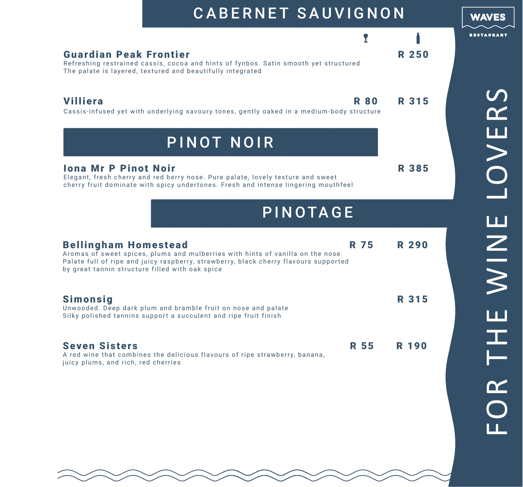| <b>CABERNET SAUVIGNON</b>                                                                                                                                                                                                                                               |              | <b>WAVES</b>         |
|-------------------------------------------------------------------------------------------------------------------------------------------------------------------------------------------------------------------------------------------------------------------------|--------------|----------------------|
| <b>Guardian Peak Frontier</b><br>Refreshing restrained cassis, cocoa and hints of fynbos. Satin smooth yet structured<br>The palate is layered, textured and beautifully integrated                                                                                     | <b>R 250</b> | <b>RESTAURAN</b>     |
| <b>Villiera</b><br><b>R 80</b><br>Cassis-infused yet with underlying savoury tones, gently oaked in a medium-body structure                                                                                                                                             | R 315        | $\blacktriangledown$ |
| PINOT NOIR<br><b>Iona Mr P Pinot Noir</b><br>Elegant, fresh cherry and red berry nose. Pure palate, lovely texture and sweet<br>cherry fruit dominate with spicy undertones. Fresh and intense lingering mouthfeel<br>PINOTAGE                                          | R 385        | U<br>O<br>O          |
| <b>R</b> 75<br><b>Bellingham Homestead</b><br>Aromas of sweet spices, plums and mulberries with hints of vanilla on the nose<br>Palate full of ripe and juicy raspberry, strawberry, black cherry flavours supported<br>by great tannin structure filled with oak spice | <b>R 290</b> | $\frac{N}{N}$        |
| <b>Simonsig</b><br>Unwooded. Deep dark plum and bramble fruit on nose and palate<br>Silky polished tannins support a succulent and ripe fruit finish                                                                                                                    | R 315        |                      |
| <b>Seven Sisters</b><br><b>R</b> 55<br>A red wine that combines the delicious flavours of ripe strawberry, banana,<br>juicy plums, and rich, red cherries                                                                                                               | <b>R</b> 190 |                      |

FOR THE WINE LOVERSHOL